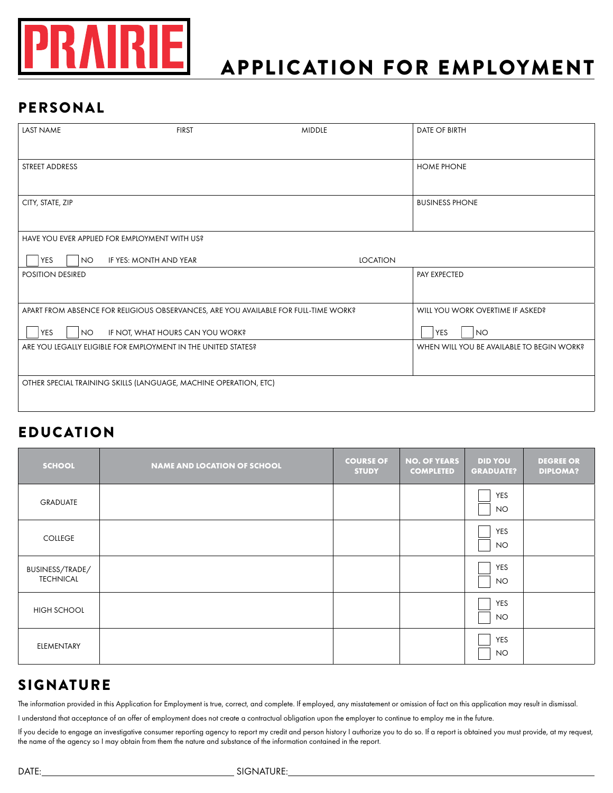

# APPLICATION FOR EMPLOYMENT

#### PERSONAL

| <b>LAST NAME</b>                              | <b>FIRST</b>                                                                        | <b>MIDDLE</b>   | <b>DATE OF BIRTH</b>                      |
|-----------------------------------------------|-------------------------------------------------------------------------------------|-----------------|-------------------------------------------|
|                                               |                                                                                     |                 |                                           |
| STREET ADDRESS                                |                                                                                     |                 | <b>HOME PHONE</b>                         |
|                                               |                                                                                     |                 |                                           |
| CITY, STATE, ZIP                              |                                                                                     |                 | <b>BUSINESS PHONE</b>                     |
|                                               |                                                                                     |                 |                                           |
| HAVE YOU EVER APPLIED FOR EMPLOYMENT WITH US? |                                                                                     |                 |                                           |
| <b>YES</b><br>NO)                             | IF YES: MONTH AND YEAR                                                              | <b>LOCATION</b> |                                           |
| POSITION DESIRED                              |                                                                                     |                 | PAY EXPECTED                              |
|                                               |                                                                                     |                 |                                           |
|                                               | APART FROM ABSENCE FOR RELIGIOUS OBSERVANCES, ARE YOU AVAILABLE FOR FULL-TIME WORK? |                 | WILL YOU WORK OVERTIME IF ASKED?          |
| <b>YES</b><br><b>INO</b>                      | IF NOT, WHAT HOURS CAN YOU WORK?                                                    |                 | <b>YES</b><br><b>NO</b>                   |
|                                               | ARE YOU LEGALLY ELIGIBLE FOR EMPLOYMENT IN THE UNITED STATES?                       |                 | WHEN WILL YOU BE AVAILABLE TO BEGIN WORK? |
|                                               |                                                                                     |                 |                                           |
|                                               | OTHER SPECIAL TRAINING SKILLS (LANGUAGE, MACHINE OPERATION, ETC)                    |                 |                                           |
|                                               |                                                                                     |                 |                                           |
|                                               |                                                                                     |                 |                                           |

#### EDUCATION

| <b>SCHOOL</b>                       | <b>NAME AND LOCATION OF SCHOOL</b> | <b>COURSE OF</b><br><b>STUDY</b> | <b>NO. OF YEARS</b><br><b>COMPLETED</b> | <b>DID YOU</b><br><b>GRADUATE?</b> | <b>DEGREE OR</b><br><b>DIPLOMA?</b> |
|-------------------------------------|------------------------------------|----------------------------------|-----------------------------------------|------------------------------------|-------------------------------------|
| <b>GRADUATE</b>                     |                                    |                                  |                                         | YES<br><b>NO</b>                   |                                     |
| <b>COLLEGE</b>                      |                                    |                                  |                                         | YES<br><b>NO</b>                   |                                     |
| BUSINESS/TRADE/<br><b>TECHNICAL</b> |                                    |                                  |                                         | <b>YES</b><br><b>NO</b>            |                                     |
| <b>HIGH SCHOOL</b>                  |                                    |                                  |                                         | YES<br><b>NO</b>                   |                                     |
| ELEMENTARY                          |                                    |                                  |                                         | <b>YES</b><br><b>NO</b>            |                                     |

### SIGNATURE

The information provided in this Application for Employment is true, correct, and complete. If employed, any misstatement or omission of fact on this application may result in dismissal.

I understand that acceptance of an offer of employment does not create a contractual obligation upon the employer to continue to employ me in the future.

If you decide to engage an investigative consumer reporting agency to report my credit and person history I authorize you to do so. If a report is obtained you must provide, at my request, the name of the agency so I may obtain from them the nature and substance of the information contained in the report.